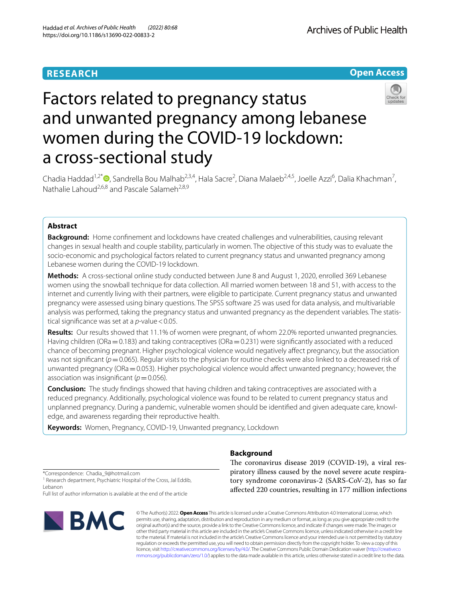# **RESEARCH**

Archives of Public Health

# **Open Access**



# Factors related to pregnancy status and unwanted pregnancy among lebanese women during the COVID-19 lockdown: a cross-sectional study

Chadia Haddad<sup>1,2\*</sup>®[,](http://orcid.org/0000-0003-2413-2684) Sandrella Bou Malhab<sup>2,3,4</sup>, Hala Sacre<sup>2</sup>, Diana Malaeb<sup>2,4,5</sup>, Joelle Azzi<sup>6</sup>, Dalia Khachman<sup>7</sup>, Nathalie Lahoud<sup>2,6,8</sup> and Pascale Salameh<sup>2,8,9</sup>

# **Abstract**

**Background:** Home confnement and lockdowns have created challenges and vulnerabilities, causing relevant changes in sexual health and couple stability, particularly in women. The objective of this study was to evaluate the socio-economic and psychological factors related to current pregnancy status and unwanted pregnancy among Lebanese women during the COVID-19 lockdown.

**Methods:** A cross-sectional online study conducted between June 8 and August 1, 2020, enrolled 369 Lebanese women using the snowball technique for data collection. All married women between 18 and 51, with access to the internet and currently living with their partners, were eligible to participate. Current pregnancy status and unwanted pregnancy were assessed using binary questions. The SPSS software 25 was used for data analysis, and multivariable analysis was performed, taking the pregnancy status and unwanted pregnancy as the dependent variables. The statistical significance was set at a *p*-value < 0.05.

**Results:** Our results showed that 11.1% of women were pregnant, of whom 22.0% reported unwanted pregnancies. Having children (ORa=0.183) and taking contraceptives (ORa=0.231) were significantly associated with a reduced chance of becoming pregnant. Higher psychological violence would negatively afect pregnancy, but the association was not significant ( $p=0.065$ ). Regular visits to the physician for routine checks were also linked to a decreased risk of unwanted pregnancy (ORa = 0.053). Higher psychological violence would affect unwanted pregnancy; however, the association was insignificant ( $p=0.056$ ).

**Conclusion:** The study fndings showed that having children and taking contraceptives are associated with a reduced pregnancy. Additionally, psychological violence was found to be related to current pregnancy status and unplanned pregnancy. During a pandemic, vulnerable women should be identifed and given adequate care, knowledge, and awareness regarding their reproductive health.

**Keywords:** Women, Pregnancy, COVID-19, Unwanted pregnancy, Lockdown

# **Background**

\*Correspondence: Chadia\_9@hotmail.com

<sup>1</sup> Research department, Psychiatric Hospital of the Cross, Jal Eddib, Lebanon

Full list of author information is available at the end of the article



The coronavirus disease 2019 (COVID-19), a viral respiratory illness caused by the novel severe acute respiratory syndrome coronavirus-2 (SARS-CoV-2), has so far afected 220 countries, resulting in 177 million infections

© The Author(s) 2022. **Open Access** This article is licensed under a Creative Commons Attribution 4.0 International License, which permits use, sharing, adaptation, distribution and reproduction in any medium or format, as long as you give appropriate credit to the original author(s) and the source, provide a link to the Creative Commons licence, and indicate if changes were made. The images or other third party material in this article are included in the article's Creative Commons licence, unless indicated otherwise in a credit line to the material. If material is not included in the article's Creative Commons licence and your intended use is not permitted by statutory regulation or exceeds the permitted use, you will need to obtain permission directly from the copyright holder. To view a copy of this licence, visit [http://creativecommons.org/licenses/by/4.0/.](http://creativecommons.org/licenses/by/4.0/) The Creative Commons Public Domain Dedication waiver ([http://creativeco](http://creativecommons.org/publicdomain/zero/1.0/) [mmons.org/publicdomain/zero/1.0/](http://creativecommons.org/publicdomain/zero/1.0/)) applies to the data made available in this article, unless otherwise stated in a credit line to the data.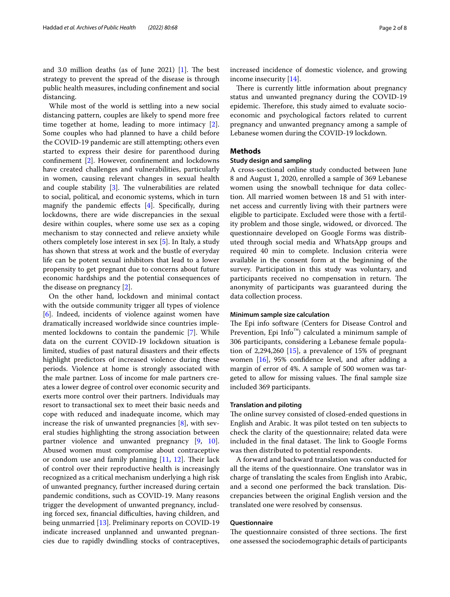and 3.0 million deaths (as of June 2021)  $[1]$ . The best strategy to prevent the spread of the disease is through public health measures, including confnement and social distancing.

While most of the world is settling into a new social distancing pattern, couples are likely to spend more free time together at home, leading to more intimacy [\[2](#page-6-1)]. Some couples who had planned to have a child before the COVID-19 pandemic are still attempting; others even started to express their desire for parenthood during confnement [\[2](#page-6-1)]. However, confnement and lockdowns have created challenges and vulnerabilities, particularly in women, causing relevant changes in sexual health and couple stability  $[3]$ . The vulnerabilities are related to social, political, and economic systems, which in turn magnify the pandemic effects [\[4](#page-6-3)]. Specifically, during lockdowns, there are wide discrepancies in the sexual desire within couples, where some use sex as a coping mechanism to stay connected and relieve anxiety while others completely lose interest in sex [[5](#page-6-4)]. In Italy, a study has shown that stress at work and the bustle of everyday life can be potent sexual inhibitors that lead to a lower propensity to get pregnant due to concerns about future economic hardships and the potential consequences of the disease on pregnancy [[2\]](#page-6-1).

On the other hand, lockdown and minimal contact with the outside community trigger all types of violence [[6\]](#page-6-5). Indeed, incidents of violence against women have dramatically increased worldwide since countries implemented lockdowns to contain the pandemic [\[7](#page-6-6)]. While data on the current COVID-19 lockdown situation is limited, studies of past natural disasters and their efects highlight predictors of increased violence during these periods. Violence at home is strongly associated with the male partner. Loss of income for male partners creates a lower degree of control over economic security and exerts more control over their partners. Individuals may resort to transactional sex to meet their basic needs and cope with reduced and inadequate income, which may increase the risk of unwanted pregnancies  $[8]$  $[8]$ , with several studies highlighting the strong association between partner violence and unwanted pregnancy [[9](#page-6-8), [10](#page-6-9)]. Abused women must compromise about contraceptive or condom use and family planning  $[11, 12]$  $[11, 12]$  $[11, 12]$ . Their lack of control over their reproductive health is increasingly recognized as a critical mechanism underlying a high risk of unwanted pregnancy, further increased during certain pandemic conditions, such as COVID-19. Many reasons trigger the development of unwanted pregnancy, including forced sex, financial difficulties, having children, and being unmarried [\[13\]](#page-6-12). Preliminary reports on COVID-19 indicate increased unplanned and unwanted pregnancies due to rapidly dwindling stocks of contraceptives, increased incidence of domestic violence, and growing income insecurity [\[14](#page-6-13)].

There is currently little information about pregnancy status and unwanted pregnancy during the COVID-19 epidemic. Therefore, this study aimed to evaluate socioeconomic and psychological factors related to current pregnancy and unwanted pregnancy among a sample of Lebanese women during the COVID-19 lockdown.

# **Methods**

## **Study design and sampling**

A cross-sectional online study conducted between June 8 and August 1, 2020, enrolled a sample of 369 Lebanese women using the snowball technique for data collection. All married women between 18 and 51 with internet access and currently living with their partners were eligible to participate. Excluded were those with a fertility problem and those single, widowed, or divorced. The questionnaire developed on Google Forms was distributed through social media and WhatsApp groups and required 40 min to complete. Inclusion criteria were available in the consent form at the beginning of the survey. Participation in this study was voluntary, and participants received no compensation in return. The anonymity of participants was guaranteed during the data collection process.

#### **Minimum sample size calculation**

The Epi info software (Centers for Disease Control and Prevention, Epi Info™) calculated a minimum sample of 306 participants, considering a Lebanese female population of 2,294,260  $[15]$  $[15]$  $[15]$ , a prevalence of 15% of pregnant women [[16\]](#page-6-15), 95% confdence level, and after adding a margin of error of 4%. A sample of 500 women was targeted to allow for missing values. The final sample size included 369 participants.

#### **Translation and piloting**

The online survey consisted of closed-ended questions in English and Arabic. It was pilot tested on ten subjects to check the clarity of the questionnaire; related data were included in the final dataset. The link to Google Forms was then distributed to potential respondents.

A forward and backward translation was conducted for all the items of the questionnaire. One translator was in charge of translating the scales from English into Arabic, and a second one performed the back translation. Discrepancies between the original English version and the translated one were resolved by consensus.

# **Questionnaire**

The questionnaire consisted of three sections. The first one assessed the sociodemographic details of participants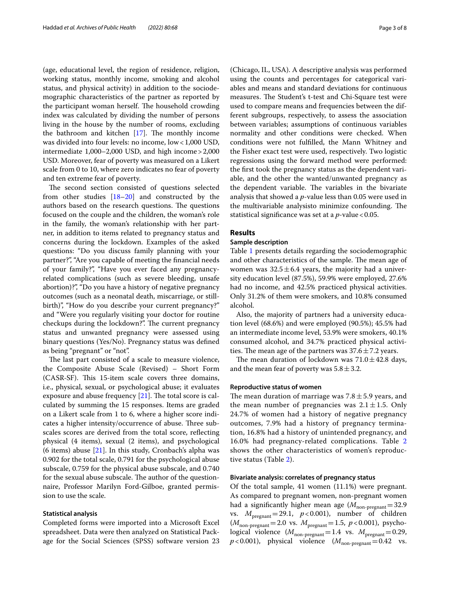(age, educational level, the region of residence, religion, working status, monthly income, smoking and alcohol status, and physical activity) in addition to the sociodemographic characteristics of the partner as reported by the participant woman herself. The household crowding index was calculated by dividing the number of persons living in the house by the number of rooms, excluding the bathroom and kitchen  $[17]$  $[17]$ . The monthly income was divided into four levels: no income, low<1,000 USD, intermediate 1,000–2,000 USD, and high income>2,000 USD. Moreover, fear of poverty was measured on a Likert scale from 0 to 10, where zero indicates no fear of poverty and ten extreme fear of poverty.

The second section consisted of questions selected from other studies [[18](#page-6-17)[–20](#page-6-18)] and constructed by the authors based on the research questions. The questions focused on the couple and the children, the woman's role in the family, the woman's relationship with her partner, in addition to items related to pregnancy status and concerns during the lockdown. Examples of the asked questions: "Do you discuss family planning with your partner?", "Are you capable of meeting the fnancial needs of your family?", "Have you ever faced any pregnancyrelated complications (such as severe bleeding, unsafe abortion)?", "Do you have a history of negative pregnancy outcomes (such as a neonatal death, miscarriage, or stillbirth)", "How do you describe your current pregnancy?" and "Were you regularly visiting your doctor for routine checkups during the lockdown?". The current pregnancy status and unwanted pregnancy were assessed using binary questions (Yes/No). Pregnancy status was defned as being "pregnant" or "not".

The last part consisted of a scale to measure violence, the Composite Abuse Scale (Revised) – Short Form (CASR-SF). This 15-item scale covers three domains, i.e., physical, sexual, or psychological abuse; it evaluates exposure and abuse frequency  $[21]$  $[21]$ . The total score is calculated by summing the 15 responses. Items are graded on a Likert scale from 1 to 6, where a higher score indicates a higher intensity/occurrence of abuse. Three subscales scores are derived from the total score, refecting physical (4 items), sexual (2 items), and psychological (6 items) abuse  $[21]$ . In this study, Cronbach's alpha was 0.902 for the total scale, 0.791 for the psychological abuse subscale, 0.759 for the physical abuse subscale, and 0.740 for the sexual abuse subscale. The author of the questionnaire, Professor Marilyn Ford-Gilboe, granted permission to use the scale.

## **Statistical analysis**

Completed forms were imported into a Microsoft Excel spreadsheet. Data were then analyzed on Statistical Package for the Social Sciences (SPSS) software version 23 (Chicago, IL, USA). A descriptive analysis was performed using the counts and percentages for categorical variables and means and standard deviations for continuous measures. The Student's t-test and Chi-Square test were used to compare means and frequencies between the different subgroups, respectively, to assess the association between variables; assumptions of continuous variables normality and other conditions were checked. When conditions were not fulflled, the Mann Whitney and the Fisher exact test were used, respectively. Two logistic regressions using the forward method were performed: the frst took the pregnancy status as the dependent variable, and the other the wanted/unwanted pregnancy as the dependent variable. The variables in the bivariate analysis that showed a *p*-value less than 0.05 were used in the multivariable analysisto minimize confounding. The statistical significance was set at a  $p$ -value < 0.05.

# **Results**

# **Sample description**

Table [1](#page-3-0) presents details regarding the sociodemographic and other characteristics of the sample. The mean age of women was  $32.5 \pm 6.4$  years, the majority had a university education level (87.5%), 59.9% were employed, 27.6% had no income, and 42.5% practiced physical activities. Only 31.2% of them were smokers, and 10.8% consumed alcohol.

Also, the majority of partners had a university education level (68.6%) and were employed (90.5%); 45.5% had an intermediate income level, 53.9% were smokers, 40.1% consumed alcohol, and 34.7% practiced physical activities. The mean age of the partners was  $37.6 \pm 7.2$  years.

The mean duration of lockdown was  $71.0 \pm 42.8$  days, and the mean fear of poverty was  $5.8 \pm 3.2$ .

## **Reproductive status of women**

The mean duration of marriage was  $7.8 \pm 5.9$  years, and the mean number of pregnancies was  $2.1 \pm 1.5$ . Only 24.7% of women had a history of negative pregnancy outcomes, 7.9% had a history of pregnancy termination, 16.8% had a history of unintended pregnancy, and 16.0% had pregnancy-related complications. Table [2](#page-3-1) shows the other characteristics of women's reproductive status (Table [2\)](#page-3-1).

# **Bivariate analysis: correlates of pregnancy status**

Of the total sample, 41 women (11.1%) were pregnant. As compared to pregnant women, non-pregnant women had a significantly higher mean age  $(M_{\text{non-pregnant}}=32.9$ vs.  $M_{\text{pregnant}}$  = 29.1,  $p$  < 0.001), number of children  $(M_{\text{non-prequent}}=2.0 \text{ vs. } M_{\text{pregnant}}=1.5, p<0.001)$ , psychological violence  $(M_{\text{non-pregnant}}=1.4 \text{ vs. } M_{\text{pregnant}}=0.29,$  $p$ <0.001), physical violence ( $M_{\text{non-pregnant}}$ =0.42 vs.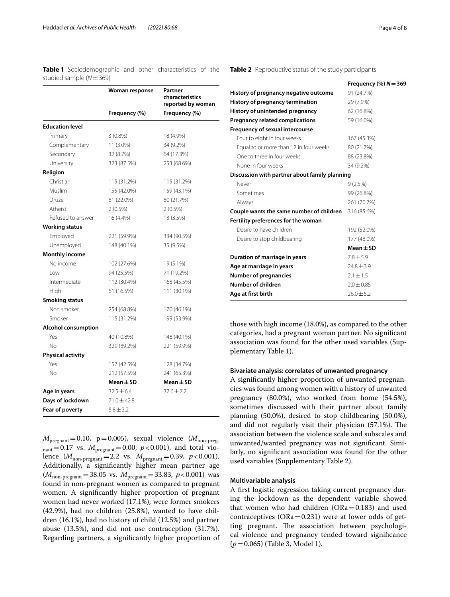<span id="page-3-0"></span>

| <b>Table 1</b> Sociodemographic and other characteristics of the |  |  |  |
|------------------------------------------------------------------|--|--|--|
| studied sample $(N = 369)$                                       |  |  |  |

|                            | Woman response  | Partner<br>characteristics<br>reported by woman |
|----------------------------|-----------------|-------------------------------------------------|
|                            | Frequency (%)   | Frequency (%)                                   |
| <b>Education level</b>     |                 |                                                 |
| Primary                    | $3(0.8\%)$      | 18 (4.9%)                                       |
| Complementary              | 11 (3.0%)       | 34 (9.2%)                                       |
| Secondary                  | 32 (8.7%)       | 64 (17.3%)                                      |
| University                 | 323 (87.5%)     | 253 (68.6%)                                     |
| Religion                   |                 |                                                 |
| Christian                  | 115 (31.2%)     | 115 (31.2%)                                     |
| Muslim                     | 155 (42.0%)     | 159 (43.1%)                                     |
| Druze                      | 81 (22.0%)      | 80 (21.7%)                                      |
| Atheist                    | $2(0.5\%)$      | $2(0.5\%)$                                      |
| Refused to answer          | 16 (4.4%)       | 13 (3.5%)                                       |
| <b>Working status</b>      |                 |                                                 |
| Employed                   | 221 (59.9%)     | 334 (90.5%)                                     |
| Unemployed                 | 148 (40.1%)     | 35 (9.5%)                                       |
| <b>Monthly income</b>      |                 |                                                 |
| No income                  | 102 (27.6%)     | 19 (5.1%)                                       |
| l ow                       | 94 (25.5%)      | 71 (19.2%)                                      |
| Intermediate               | 112 (30.4%)     | 168 (45.5%)                                     |
| High                       | 61 (16.5%)      | 111 (30.1%)                                     |
| <b>Smoking status</b>      |                 |                                                 |
| Non smoker                 | 254 (68.8%)     | 170 (46.1%)                                     |
| Smoker                     | 115 (31.2%)     | 199 (53.9%)                                     |
| <b>Alcohol consumption</b> |                 |                                                 |
| Yes                        | 40 (10.8%)      | 148 (40.1%)                                     |
| No                         | 329 (89.2%)     | 221 (59.9%)                                     |
| <b>Physical activity</b>   |                 |                                                 |
| Yes                        | 157 (42.5%)     | 128 (34.7%)                                     |
| No                         | 212 (57.5%)     | 241 (65.3%)                                     |
|                            | $Mean \pm SD$   | $Mean \pm SD$                                   |
| Age in years               | $32.5 \pm 6.4$  | $37.6 \pm 7.2$                                  |
| Days of lockdown           | $71.0 \pm 42.8$ |                                                 |
| Fear of poverty            | $5.8 \pm 3.2$   |                                                 |

 $M_{\text{pregnant}}$ =0.10, p=0.005), sexual violence ( $M_{\text{non-preg}}$  $n_{\text{ant}}=0.17$  vs.  $M_{\text{pregnant}}=0.00, p<0.001$ , and total violence  $(M_{\text{non-pregnant}}=2.2 \text{ vs. } M_{\text{pregnant}}=0.39, p<0.001).$ Additionally, a signifcantly higher mean partner age  $(M_{\text{non-pregnant}}=38.05 \text{ vs. } M_{\text{pregnant}}=33.83, p<0.001) \text{ was}$ found in non-pregnant women as compared to pregnant women. A signifcantly higher proportion of pregnant women had never worked (17.1%), were former smokers (42.9%), had no children (25.8%), wanted to have children (16.1%), had no history of child (12.5%) and partner abuse (13.5%), and did not use contraception (31.7%). Regarding partners, a signifcantly higher proportion of

# <span id="page-3-1"></span>**Table 2** Reproductive status of the study participants

|                                               | Frequency $(\%) N = 369$ |
|-----------------------------------------------|--------------------------|
| History of pregnancy negative outcome         | 91 (24.7%)               |
| History of pregnancy termination              | 29 (7.9%)                |
| History of unintended pregnancy               | 62 (16.8%)               |
| <b>Pregnancy related complications</b>        | 59 (16.0%)               |
| <b>Frequency of sexual intercourse</b>        |                          |
| Four to eight in four weeks                   | 167 (45.3%)              |
| Equal to or more than 12 in four weeks        | 80 (21.7%)               |
| One to three in four weeks                    | 88 (23.8%)               |
| None in four weeks                            | 34 (9.2%)                |
| Discussion with partner about family planning |                          |
| Never                                         | 9(2.5%)                  |
| Sometimes                                     | 99 (26.8%)               |
| Always                                        | 261 (70.7%)              |
| Couple wants the same number of children      | 316 (85.6%)              |
| Fertility preferences for the woman           |                          |
| Desire to have children                       | 192 (52.0%)              |
| Desire to stop childbearing                   | 177 (48.0%)              |
|                                               | $Mean \pm SD$            |
| Duration of marriage in years                 | $7.8 \pm 5.9$            |
| Age at marriage in years                      | $24.8 \pm 3.9$           |
| <b>Number of pregnancies</b>                  | $2.1 \pm 1.5$            |
| Number of children                            | $2.0 \pm 0.85$           |
| Age at first birth                            | $76.0 + 5.2$             |

those with high income (18.0%), as compared to the other categories, had a pregnant woman partner. No signifcant association was found for the other used variables (Supplementary Table [1](#page-5-0)).

# **Bivariate analysis: correlates of unwanted pregnancy**

A signifcantly higher proportion of unwanted pregnancies was found among women with a history of unwanted pregnancy (80.0%), who worked from home (54.5%), sometimes discussed with their partner about family planning (50.0%), desired to stop childbearing (50.0%), and did not regularly visit their physician  $(57.1\%)$ . The association between the violence scale and subscales and unwanted/wanted pregnancy was not signifcant. Similarly, no signifcant association was found for the other used variables (Supplementary Table [2\)](#page-5-1).

#### **Multivariable analysis**

A frst logistic regression taking current pregnancy during the lockdown as the dependent variable showed that women who had children  $(ORa=0.183)$  and used contraceptives  $(ORa = 0.231)$  were at lower odds of getting pregnant. The association between psychological violence and pregnancy tended toward signifcance (*p*=0.065) (Table [3](#page-4-0), Model 1).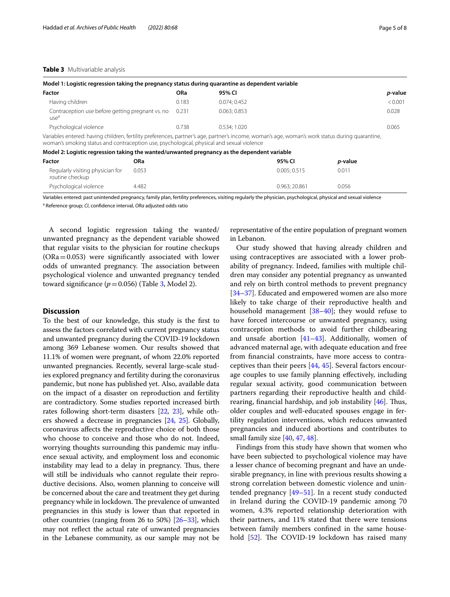#### <span id="page-4-0"></span>**Table 3** Multivariable analysis

| Model 1: Logistic regression taking the pregnancy status during quarantine as dependent variable                                                                                                                                             |            |             |             |                 |         |
|----------------------------------------------------------------------------------------------------------------------------------------------------------------------------------------------------------------------------------------------|------------|-------------|-------------|-----------------|---------|
| Factor                                                                                                                                                                                                                                       | <b>ORa</b> | 95% CI      |             |                 | p-value |
| Having children                                                                                                                                                                                                                              | 0.183      | 0.074:0.452 |             |                 | < 0.001 |
| Contraception use before getting pregnant vs. no<br>use <sup>d</sup>                                                                                                                                                                         | 0.231      | 0.063:0.853 |             |                 | 0.028   |
| Psychological violence                                                                                                                                                                                                                       | 0.738      | 0.534:1.020 |             |                 | 0.065   |
| Variables entered: having children, fertility preferences, partner's age, partner's income, woman's age, woman's work status during quarantine,<br>woman's smoking status and contraception use, psychological, physical and sexual violence |            |             |             |                 |         |
| Model 2: Logistic regression taking the wanted/unwanted pregnancy as the dependent variable                                                                                                                                                  |            |             |             |                 |         |
| <b>ORa</b><br>Factor                                                                                                                                                                                                                         |            |             | 95% CI      | <i>p</i> -value |         |
| Regularly visiting physician for<br>0.053<br>routine checkup                                                                                                                                                                                 |            |             | 0.005:0.515 | 0.011           |         |

Variables entered: past unintended pregnancy, family plan, fertility preferences, visiting regularly the physician, psychological, physical and sexual violence a Reference group; *CI*, confdence interval, *ORa* adjusted odds ratio

Psychological violence 4.482 0.963; 20.861 0.056

A second logistic regression taking the wanted/ unwanted pregnancy as the dependent variable showed that regular visits to the physician for routine checkups  $(ORa = 0.053)$  were significantly associated with lower odds of unwanted pregnancy. The association between psychological violence and unwanted pregnancy tended toward significance  $(p=0.056)$  (Table [3,](#page-4-0) Model 2).

# **Discussion**

To the best of our knowledge, this study is the frst to assess the factors correlated with current pregnancy status and unwanted pregnancy during the COVID-19 lockdown among 369 Lebanese women. Our results showed that 11.1% of women were pregnant, of whom 22.0% reported unwanted pregnancies. Recently, several large-scale studies explored pregnancy and fertility during the coronavirus pandemic, but none has published yet. Also, available data on the impact of a disaster on reproduction and fertility are contradictory. Some studies reported increased birth rates following short-term disasters [\[22,](#page-6-20) [23\]](#page-6-21), while others showed a decrease in pregnancies [[24](#page-6-22), [25](#page-6-23)]. Globally, coronavirus afects the reproductive choice of both those who choose to conceive and those who do not. Indeed, worrying thoughts surrounding this pandemic may infuence sexual activity, and employment loss and economic instability may lead to a delay in pregnancy. Thus, there will still be individuals who cannot regulate their reproductive decisions. Also, women planning to conceive will be concerned about the care and treatment they get during pregnancy while in lockdown. The prevalence of unwanted pregnancies in this study is lower than that reported in other countries (ranging from 26 to 50%) [[26](#page-6-24)[–33\]](#page-6-25), which may not refect the actual rate of unwanted pregnancies in the Lebanese community, as our sample may not be

representative of the entire population of pregnant women in Lebanon.

Our study showed that having already children and using contraceptives are associated with a lower probability of pregnancy. Indeed, families with multiple children may consider any potential pregnancy as unwanted and rely on birth control methods to prevent pregnancy [[34–](#page-6-26)[37\]](#page-6-27). Educated and empowered women are also more likely to take charge of their reproductive health and household management  $[38-40]$  $[38-40]$  $[38-40]$ ; they would refuse to have forced intercourse or unwanted pregnancy, using contraception methods to avoid further childbearing and unsafe abortion  $[41-43]$  $[41-43]$  $[41-43]$ . Additionally, women of advanced maternal age, with adequate education and free from fnancial constraints, have more access to contraceptives than their peers [\[44](#page-7-4), [45\]](#page-7-5). Several factors encourage couples to use family planning efectively, including regular sexual activity, good communication between partners regarding their reproductive health and childrearing, financial hardship, and job instability  $[46]$ . Thus, older couples and well-educated spouses engage in fertility regulation interventions, which reduces unwanted pregnancies and induced abortions and contributes to small family size [\[40](#page-7-1), [47](#page-7-7), [48\]](#page-7-8).

Findings from this study have shown that women who have been subjected to psychological violence may have a lesser chance of becoming pregnant and have an undesirable pregnancy, in line with previous results showing a strong correlation between domestic violence and unintended pregnancy [[49–](#page-7-9)[51\]](#page-7-10). In a recent study conducted in Ireland during the COVID-19 pandemic among 70 women, 4.3% reported relationship deterioration with their partners, and 11% stated that there were tensions between family members confned in the same household  $[52]$  $[52]$ . The COVID-19 lockdown has raised many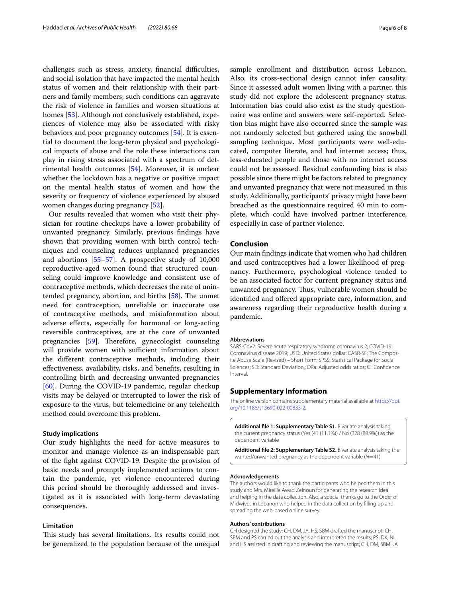challenges such as stress, anxiety, financial difficulties, and social isolation that have impacted the mental health status of women and their relationship with their partners and family members; such conditions can aggravate the risk of violence in families and worsen situations at homes [[53](#page-7-12)]. Although not conclusively established, experiences of violence may also be associated with risky behaviors and poor pregnancy outcomes [\[54](#page-7-13)]. It is essential to document the long-term physical and psychological impacts of abuse and the role these interactions can play in rising stress associated with a spectrum of detrimental health outcomes [\[54\]](#page-7-13). Moreover, it is unclear whether the lockdown has a negative or positive impact on the mental health status of women and how the severity or frequency of violence experienced by abused women changes during pregnancy [\[52\]](#page-7-11).

Our results revealed that women who visit their physician for routine checkups have a lower probability of unwanted pregnancy. Similarly, previous fndings have shown that providing women with birth control techniques and counseling reduces unplanned pregnancies and abortions [[55–](#page-7-14)[57](#page-7-15)]. A prospective study of 10,000 reproductive-aged women found that structured counseling could improve knowledge and consistent use of contraceptive methods, which decreases the rate of unintended pregnancy, abortion, and births  $[58]$  $[58]$ . The unmet need for contraception, unreliable or inaccurate use of contraceptive methods, and misinformation about adverse efects, especially for hormonal or long-acting reversible contraceptives, are at the core of unwanted pregnancies [\[59](#page-7-17)]. Therefore, gynecologist counseling will provide women with sufficient information about the diferent contraceptive methods, including their efectiveness, availability, risks, and benefts, resulting in controlling birth and decreasing unwanted pregnancies [[60\]](#page-7-18). During the COVID-19 pandemic, regular checkup visits may be delayed or interrupted to lower the risk of exposure to the virus, but telemedicine or any telehealth method could overcome this problem.

## **Study implications**

Our study highlights the need for active measures to monitor and manage violence as an indispensable part of the fght against COVID-19. Despite the provision of basic needs and promptly implemented actions to contain the pandemic, yet violence encountered during this period should be thoroughly addressed and investigated as it is associated with long-term devastating consequences.

## **Limitation**

This study has several limitations. Its results could not be generalized to the population because of the unequal sample enrollment and distribution across Lebanon. Also, its cross-sectional design cannot infer causality. Since it assessed adult women living with a partner, this study did not explore the adolescent pregnancy status. Information bias could also exist as the study questionnaire was online and answers were self-reported. Selection bias might have also occurred since the sample was not randomly selected but gathered using the snowball sampling technique. Most participants were well-educated, computer literate, and had internet access; thus, less-educated people and those with no internet access could not be assessed. Residual confounding bias is also possible since there might be factors related to pregnancy and unwanted pregnancy that were not measured in this study. Additionally, participants' privacy might have been breached as the questionnaire required 40 min to complete, which could have involved partner interference, especially in case of partner violence.

#### **Conclusion**

Our main fndings indicate that women who had children and used contraceptives had a lower likelihood of pregnancy. Furthermore, psychological violence tended to be an associated factor for current pregnancy status and unwanted pregnancy. Thus, vulnerable women should be identified and offered appropriate care, information, and awareness regarding their reproductive health during a pandemic.

#### **Abbreviations**

SARS-CoV2: Severe acute respiratory syndrome coronavirus 2; COVID-19: Coronavirus disease 2019; USD: United States dollar; CASR-SF: The Composite Abuse Scale (Revised) – Short Form; SPSS: Statistical Package for Social Sciences; SD: Standard Deviation,; ORa: Adjusted odds ratios; CI: Confdence Interval.

#### **Supplementary Information**

The online version contains supplementary material available at [https://doi.](https://doi.org/10.1186/s13690-022-00833-2) [org/10.1186/s13690-022-00833-2](https://doi.org/10.1186/s13690-022-00833-2).

<span id="page-5-0"></span>**Additional fle 1: Supplementary Table S1.** Bivariate analysis taking the current pregnancy status (Yes (41 (11.1%)) / No (328 (88.9%)) as the dependent variable

<span id="page-5-1"></span>**Additional fle 2: Supplementary Table S2.** Bivariate analysis taking the wanted/unwanted pregnancy as the dependent variable (*N*=41)

#### **Acknowledgements**

The authors would like to thank the participants who helped them in this study and Mrs. Mireille Awad Zeinoun for generating the research idea and helping in the data collection. Also, a special thanks go to the Order of Midwives in Lebanon who helped in the data collection by flling up and spreading the web-based online survey.

#### **Authors' contributions**

CH designed the study; CH, DM, JA, HS, SBM drafted the manuscript; CH, SBM and PS carried out the analysis and interpreted the results; PS, DK, NL and HS assisted in drafting and reviewing the manuscript; CH, DM, SBM, JA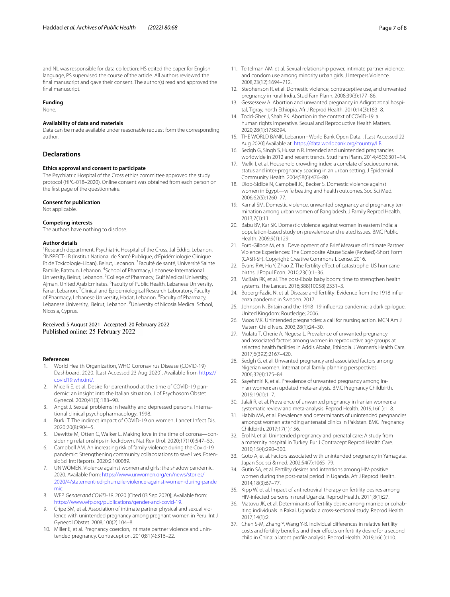and NL was responsible for data collection; HS edited the paper for English language, PS supervised the course of the article. All authors reviewed the fnal manuscript and gave their consent. The author(s) read and approved the final manuscript.

#### **Funding**

None.

# **Availability of data and materials**

Data can be made available under reasonable request form the corresponding author.

## **Declarations**

#### **Ethics approval and consent to participate**

The Psychiatric Hospital of the Cross ethics committee approved the study protocol (HPC-018–2020). Online consent was obtained from each person on the frst page of the questionnaire.

#### **Consent for publication**

Not applicable.

# **Competing interests**

The authors have nothing to disclose.

#### **Author details**

<sup>1</sup> Research department, Psychiatric Hospital of the Cross, Jal Eddib, Lebanon.<br><sup>2</sup>INSPECT-LB (Institut National de Santé Publique, d'Énidémiologie Clinique <sup>2</sup>INSPECT-LB (Institut National de Santé Publique, d'Épidémiologie Clinique Et de Toxicologie-Liban), Beirut, Lebanon. <sup>3</sup>Faculté de santé, Université Sainte Famille, Batroun, Lebanon. <sup>4</sup>School of Pharmacy, Lebanese International University, Beirut, Lebanon. <sup>5</sup> College of Pharmacy, Gulf Medical University, Ajman, United Arab Emirates. <sup>6</sup> Faculty of Public Health, Lebanese University, Fanar, Lebanon. <sup>7</sup> Clinical and Epidemiological Research Laboratory, Faculty of Pharmacy, Lebanese University, Hadat, Lebanon. <sup>8</sup> Faculty of Pharmacy, Lebanese University, Beirut, Lebanon. <sup>9</sup>University of Nicosia Medical School, Nicosia, Cyprus.

## Received: 5 August 2021 Accepted: 20 February 2022 Published online: 25 February 2022

#### **References**

- <span id="page-6-0"></span>1. World Health Organization, WHO Coronavirus Disease (COVID-19) Dashboard. 2020. [Last Accessed 23 Aug 2020]. Available from [https://](https://covid19.who.int/) [covid19.who.int/.](https://covid19.who.int/)
- <span id="page-6-1"></span>2. Micelli E, et al. Desire for parenthood at the time of COVID-19 pandemic: an insight into the Italian situation. J of Psychosom Obstet Gynecol. 2020;41(3):183–90.
- <span id="page-6-2"></span>3. Angst J. Sexual problems in healthy and depressed persons*.* International clinical psychopharmacology. 1998.
- <span id="page-6-3"></span>4. Burki T. The indirect impact of COVID-19 on women. Lancet Infect Dis. 2020;20(8):904–5.
- <span id="page-6-4"></span>5. Dewitte M, Otten C, Walker L. Making love in the time of corona—considering relationships in lockdown. Nat Rev Urol. 2020;17(10):547–53.
- <span id="page-6-5"></span>6. Campbell AM. An increasing risk of family violence during the Covid-19 pandemic: Strengthening community collaborations to save lives. Forensic Sci Int: Reports. 2020;2:100089.
- <span id="page-6-6"></span>7. UN WOMEN. Violence against women and girls: the shadow pandemic. 2020. Available from: [https://www.unwomen.org/en/news/stories/](https://www.unwomen.org/en/news/stories/2020/4/statement-ed-phumzile-violence-against-women-during-pandemic) [2020/4/statement-ed-phumzile-violence-against-women-during-pande](https://www.unwomen.org/en/news/stories/2020/4/statement-ed-phumzile-violence-against-women-during-pandemic) [mic.](https://www.unwomen.org/en/news/stories/2020/4/statement-ed-phumzile-violence-against-women-during-pandemic)
- <span id="page-6-7"></span>8. WFP. *Gender and COVID-19*. 2020 [Cited 03 Sep 2020]; Available from: [https://www.wfp.org/publications/gender-and-covid-19.](https://www.wfp.org/publications/gender-and-covid-19)
- <span id="page-6-8"></span>9. Cripe SM, et al. Association of intimate partner physical and sexual violence with unintended pregnancy among pregnant women in Peru. Int J Gynecol Obstet. 2008;100(2):104–8.
- <span id="page-6-9"></span>10. Miller E, et al. Pregnancy coercion, intimate partner violence and unintended pregnancy. Contraception. 2010;81(4):316–22.
- <span id="page-6-10"></span>11. Teitelman AM, et al. Sexual relationship power, intimate partner violence, and condom use among minority urban girls. J Interpers Violence. 2008;23(12):1694–712.
- <span id="page-6-11"></span>12. Stephenson R, et al. Domestic violence, contraceptive use, and unwanted pregnancy in rural India. Stud Fam Plann. 2008;39(3):177–86.
- <span id="page-6-12"></span>13. Gessessew A. Abortion and unwanted pregnancy in Adigrat zonal hospital, Tigray, north Ethiopia. Afr J Reprod Health. 2010;14(3):183–8.
- <span id="page-6-13"></span>14. Todd-Gher J, Shah PK. Abortion in the context of COVID-19: a human rights imperative. Sexual and Reproductive Health Matters. 2020;28(1):1758394.
- <span id="page-6-14"></span>15. THE WORLD BANK, Lebanon - World Bank Open Data. . [Last Accessed 22 Aug 2020].Available at: [https://data.worldbank.org/country/LB.](https://data.worldbank.org/country/LB)
- <span id="page-6-15"></span>16. Sedgh G, Singh S, Hussain R. Intended and unintended pregnancies worldwide in 2012 and recent trends. Stud Fam Plann. 2014;45(3):301–14.
- <span id="page-6-16"></span>17. Melki I, et al. Household crowding index: a correlate of socioeconomic status and inter-pregnancy spacing in an urban setting. J Epidemiol Community Health. 2004;58(6):476–80.
- <span id="page-6-17"></span>18. Diop-Sidibé N, Campbell JC, Becker S. Domestic violence against women in Egypt—wife beating and health outcomes. Soc Sci Med. 2006;62(5):1260–77.
- 19. Kamal SM. Domestic violence, unwanted pregnancy and pregnancy termination among urban women of Bangladesh. J Family Reprod Health. 2013;7(1):11.
- <span id="page-6-18"></span>20. Babu BV, Kar SK. Domestic violence against women in eastern India: a population-based study on prevalence and related issues. BMC Public Health. 2009;9(1):129.
- <span id="page-6-19"></span>21. Ford-Gilboe M, et al. Development of a Brief Measure of Intimate Partner Violence Experiences: The Composite Abuse Scale (Revised)-Short Form (CASR-SF). Copyright: Creative Commons License. 2016.
- <span id="page-6-20"></span>22. Evans RW, Hu Y, Zhao Z. The fertility effect of catastrophe: US hurricane births. J Popul Econ. 2010;23(1):1–36.
- <span id="page-6-21"></span>23. McBain RK, et al. The post-Ebola baby boom: time to strengthen health systems. The Lancet. 2016;388(10058):2331–3.
- <span id="page-6-22"></span>24. Boberg-Fazlic N, et al. Disease and fertility: Evidence from the 1918 infuenza pandemic in Sweden. 2017.
- <span id="page-6-23"></span>25. Johnson N. Britain and the 1918–19 infuenza pandemic: a dark epilogue. United Kingdom: Routledge; 2006.
- <span id="page-6-24"></span>26. Moos MK. Unintended pregnancies: a call for nursing action. MCN Am J Matern Child Nurs. 2003;28(1):24–30.
- 27. Mulatu T, Cherie A, Negesa L. Prevalence of unwanted pregnancy and associated factors among women in reproductive age groups at selected health facilities in Addis Ababa, Ethiopia. J Women's Health Care. 2017;6(392):2167–420.
- 28. Sedgh G, et al. Unwanted pregnancy and associated factors among Nigerian women. International family planning perspectives. 2006;32(4):175–84.
- 29. Sayehmiri K, et al. Prevalence of unwanted pregnancy among Iranian women: an updated meta-analysis. BMC Pregnancy Childbirth. 2019;19(1):1–7.
- 30. Jalali R, et al. Prevalence of unwanted pregnancy in Iranian women: a systematic review and meta-analysis. Reprod Health. 2019;16(1):1–8.
- 31. Habib MA, et al. Prevalence and determinants of unintended pregnancies amongst women attending antenatal clinics in Pakistan. BMC Pregnancy Childbirth. 2017;17(1):156.
- 32. Erol N, et al. Unintended pregnancy and prenatal care: A study from a maternity hospital in Turkey. Eur J Contracept Reprod Health Care. 2010;15(4):290–300.
- <span id="page-6-25"></span>33. Goto A, et al. Factors associated with unintended pregnancy in Yamagata. Japan Soc sci & med. 2002;54(7):1065–79.
- <span id="page-6-26"></span>34. Gutin SA, et al. Fertility desires and intentions among HIV-positive women during the post-natal period in Uganda. Afr J Reprod Health. 2014;18(3):67–77.
- 35. Kipp W, et al. Impact of antiretroviral therapy on fertility desires among HIV-infected persons in rural Uganda. Reprod Health. 2011;8(1):27.
- 36. Matovu JK, et al. Determinants of fertility desire among married or cohabiting individuals in Rakai, Uganda: a cross-sectional study. Reprod Health. 2017;14(1):2.
- <span id="page-6-27"></span>37. Chen S-M, Zhang Y, Wang Y-B. Individual diferences in relative fertility costs and fertility benefts and their efects on fertility desire for a second child in China: a latent profle analysis. Reprod Health. 2019;16(1):110.